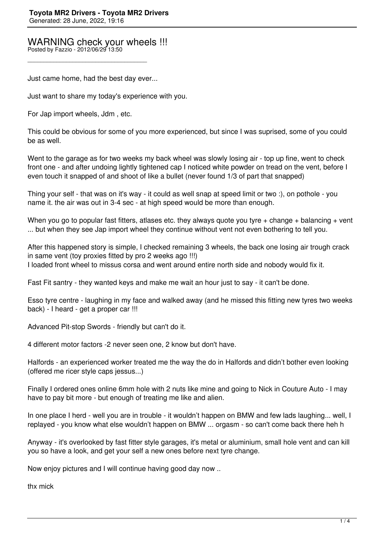## WARNING check your wheels !!!

Posted by Fazzio - 2012/06/29 13:50

Just came home, had the best day ever...

\_\_\_\_\_\_\_\_\_\_\_\_\_\_\_\_\_\_\_\_\_\_\_\_\_\_\_\_\_\_\_\_\_\_\_\_\_

Just want to share my today's experience with you.

For Jap import wheels, Jdm , etc.

This could be obvious for some of you more experienced, but since I was suprised, some of you could be as well.

Went to the garage as for two weeks my back wheel was slowly losing air - top up fine, went to check front one - and after undoing lightly tightened cap I noticed white powder on tread on the vent, before I even touch it snapped of and shoot of like a bullet (never found 1/3 of part that snapped)

Thing your self - that was on it's way - it could as well snap at speed limit or two :), on pothole - you name it. the air was out in 3-4 sec - at high speed would be more than enough.

When you go to popular fast fitters, atlases etc. they always quote you tyre  $+$  change  $+$  balancing  $+$  vent ... but when they see Jap import wheel they continue without vent not even bothering to tell you.

After this happened story is simple, I checked remaining 3 wheels, the back one losing air trough crack in same vent (toy proxies fitted by pro 2 weeks ago !!!) I loaded front wheel to missus corsa and went around entire north side and nobody would fix it.

Fast Fit santry - they wanted keys and make me wait an hour just to say - it can't be done.

Esso tyre centre - laughing in my face and walked away (and he missed this fitting new tyres two weeks back) - I heard - get a proper car !!!

Advanced Pit-stop Swords - friendly but can't do it.

4 different motor factors -2 never seen one, 2 know but don't have.

Halfords - an experienced worker treated me the way the do in Halfords and didn't bother even looking (offered me ricer style caps jessus...)

Finally I ordered ones online 6mm hole with 2 nuts like mine and going to Nick in Couture Auto - I may have to pay bit more - but enough of treating me like and alien.

In one place I herd - well you are in trouble - it wouldn't happen on BMW and few lads laughing... well, I replayed - you know what else wouldn't happen on BMW ... orgasm - so can't come back there heh h

Anyway - it's overlooked by fast fitter style garages, it's metal or aluminium, small hole vent and can kill you so have a look, and get your self a new ones before next tyre change.

Now enjoy pictures and I will continue having good day now ..

thx mick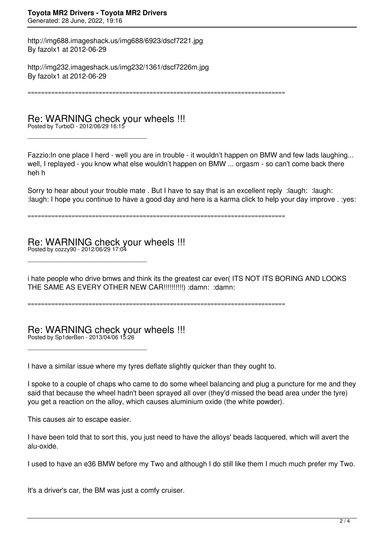http://img688.imageshack.us/img688/6923/dscf7221.jpg By fazolx1 at 2012-06-29

http://img232.imageshack.us/img232/1361/dscf7226m.jpg By fazolx1 at 2012-06-29

============================================================================

Re: WARNING check your wheels !!! Posted by TurboD - 2012/06/29 16:15

\_\_\_\_\_\_\_\_\_\_\_\_\_\_\_\_\_\_\_\_\_\_\_\_\_\_\_\_\_\_\_\_\_\_\_\_\_

Fazzio:In one place I herd - well you are in trouble - it wouldn't happen on BMW and few lads laughing... well, I replayed - you know what else wouldn't happen on BMW ... orgasm - so can't come back there heh h

Sorry to hear about your trouble mate . But I have to say that is an excellent reply : laugh: : laugh: :laugh: I hope you continue to have a good day and here is a karma click to help your day improve . :yes:

============================================================================

Re: WARNING check your wheels !!! Posted by cozzy90 - 2012/06/29 17:04

\_\_\_\_\_\_\_\_\_\_\_\_\_\_\_\_\_\_\_\_\_\_\_\_\_\_\_\_\_\_\_\_\_\_\_\_\_

i hate people who drive bmws and think its the greatest car ever( ITS NOT ITS BORING AND LOOKS THE SAME AS EVERY OTHER NEW CAR!!!!!!!!!!) :damn: :damn:

============================================================================

Re: WARNING check your wheels !!! Posted by Sp1derBen - 2013/04/06 15:26

I have a similar issue where my tyres deflate slightly quicker than they ought to.

I spoke to a couple of chaps who came to do some wheel balancing and plug a puncture for me and they said that because the wheel hadn't been sprayed all over (they'd missed the bead area under the tyre) you get a reaction on the alloy, which causes aluminium oxide (the white powder).

This causes air to escape easier.

\_\_\_\_\_\_\_\_\_\_\_\_\_\_\_\_\_\_\_\_\_\_\_\_\_\_\_\_\_\_\_\_\_\_\_\_\_

I have been told that to sort this, you just need to have the alloys' beads lacquered, which will avert the alu-oxide.

I used to have an e36 BMW before my Two and although I do still like them I much much prefer my Two.

It's a driver's car, the BM was just a comfy cruiser.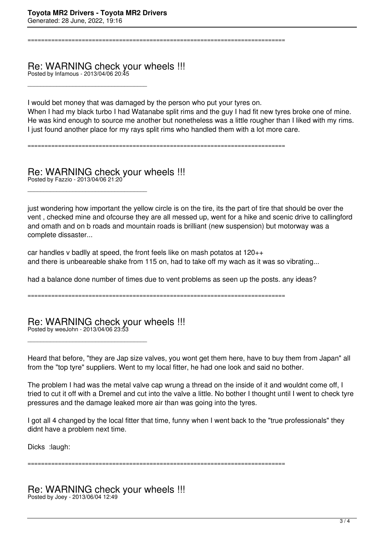============================================================================

## Re: WARNING check your wheels !!! Posted by Infamous - 2013/04/06 20:45

\_\_\_\_\_\_\_\_\_\_\_\_\_\_\_\_\_\_\_\_\_\_\_\_\_\_\_\_\_\_\_\_\_\_\_\_\_

\_\_\_\_\_\_\_\_\_\_\_\_\_\_\_\_\_\_\_\_\_\_\_\_\_\_\_\_\_\_\_\_\_\_\_\_\_

I would bet money that was damaged by the person who put your tyres on.

When I had my black turbo I had Watanabe split rims and the guy I had fit new tyres broke one of mine. He was kind enough to source me another but nonetheless was a little rougher than I liked with my rims. I just found another place for my rays split rims who handled them with a lot more care.

============================================================================

Re: WARNING check your wheels !!! Posted by Fazzio - 2013/04/06 21:20

just wondering how important the yellow circle is on the tire, its the part of tire that should be over the vent , checked mine and ofcourse they are all messed up, went for a hike and scenic drive to callingford and omath and on b roads and mountain roads is brilliant (new suspension) but motorway was a complete dissaster...

car handles v badlly at speed, the front feels like on mash potatos at 120++ and there is unbeareable shake from 115 on, had to take off my wach as it was so vibrating...

had a balance done number of times due to vent problems as seen up the posts. any ideas?

============================================================================

Re: WARNING check your wheels !!! Posted by weeJohn - 2013/04/06 23:53

\_\_\_\_\_\_\_\_\_\_\_\_\_\_\_\_\_\_\_\_\_\_\_\_\_\_\_\_\_\_\_\_\_\_\_\_\_

Heard that before, "they are Jap size valves, you wont get them here, have to buy them from Japan" all from the "top tyre" suppliers. Went to my local fitter, he had one look and said no bother.

The problem I had was the metal valve cap wrung a thread on the inside of it and wouldnt come off, I tried to cut it off with a Dremel and cut into the valve a little. No bother I thought until I went to check tyre pressures and the damage leaked more air than was going into the tyres.

I got all 4 changed by the local fitter that time, funny when I went back to the "true professionals" they didnt have a problem next time.

Dicks :laugh:

============================================================================

Re: WARNING check your wheels !!! Posted by Joey - 2013/06/04 12:49